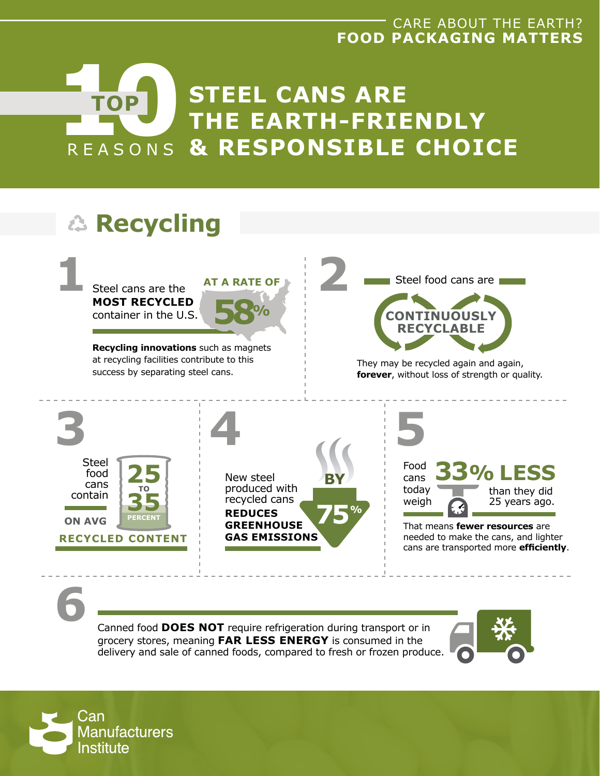## CARE ABOUT THE EARTH? **FOOD PACKAGING MATTERS**





Canned food **DOES NOT** require refrigeration during transport or in grocery stores, meaning **FAR LESS ENERGY** is consumed in the delivery and sale of canned foods, compared to fresh or frozen produce.